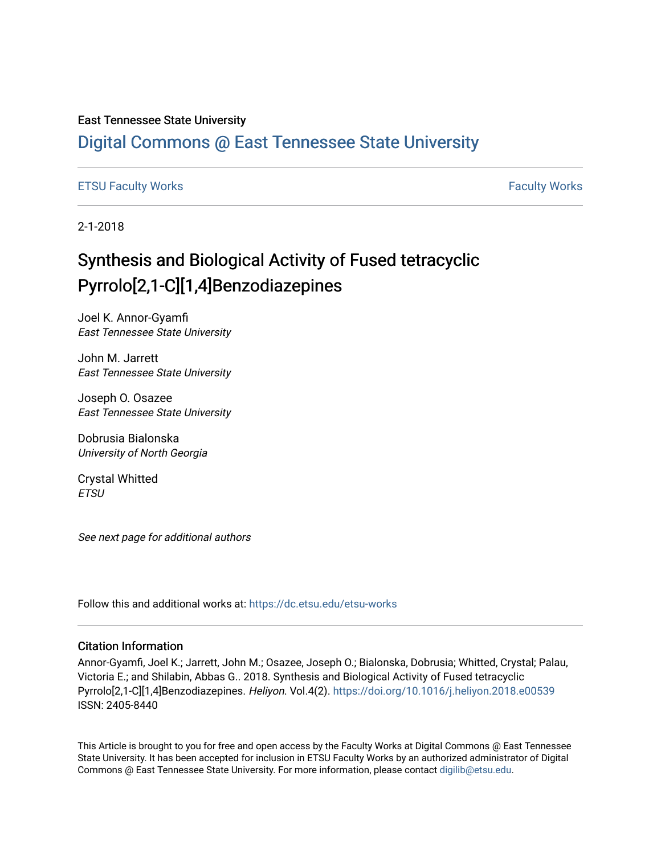#### East Tennessee State University

## [Digital Commons @ East Tennessee State University](https://dc.etsu.edu/)

#### [ETSU Faculty Works](https://dc.etsu.edu/etsu-works) **Faculty Works** [Faculty Works](https://dc.etsu.edu/faculty-works) **Faculty Works**

2-1-2018

## Synthesis and Biological Activity of Fused tetracyclic Pyrrolo[2,1-C][1,4]Benzodiazepines

Joel K. Annor-Gyamfi East Tennessee State University

John M. Jarrett East Tennessee State University

Joseph O. Osazee East Tennessee State University

Dobrusia Bialonska University of North Georgia

Crystal Whitted **ETSU** 

See next page for additional authors

Follow this and additional works at: [https://dc.etsu.edu/etsu-works](https://dc.etsu.edu/etsu-works?utm_source=dc.etsu.edu%2Fetsu-works%2F10339&utm_medium=PDF&utm_campaign=PDFCoverPages) 

#### Citation Information

Annor-Gyamfi, Joel K.; Jarrett, John M.; Osazee, Joseph O.; Bialonska, Dobrusia; Whitted, Crystal; Palau, Victoria E.; and Shilabin, Abbas G.. 2018. Synthesis and Biological Activity of Fused tetracyclic Pyrrolo[2,1-C][1,4]Benzodiazepines. Heliyon. Vol.4(2). <https://doi.org/10.1016/j.heliyon.2018.e00539> ISSN: 2405-8440

This Article is brought to you for free and open access by the Faculty Works at Digital Commons @ East Tennessee State University. It has been accepted for inclusion in ETSU Faculty Works by an authorized administrator of Digital Commons @ East Tennessee State University. For more information, please contact [digilib@etsu.edu.](mailto:digilib@etsu.edu)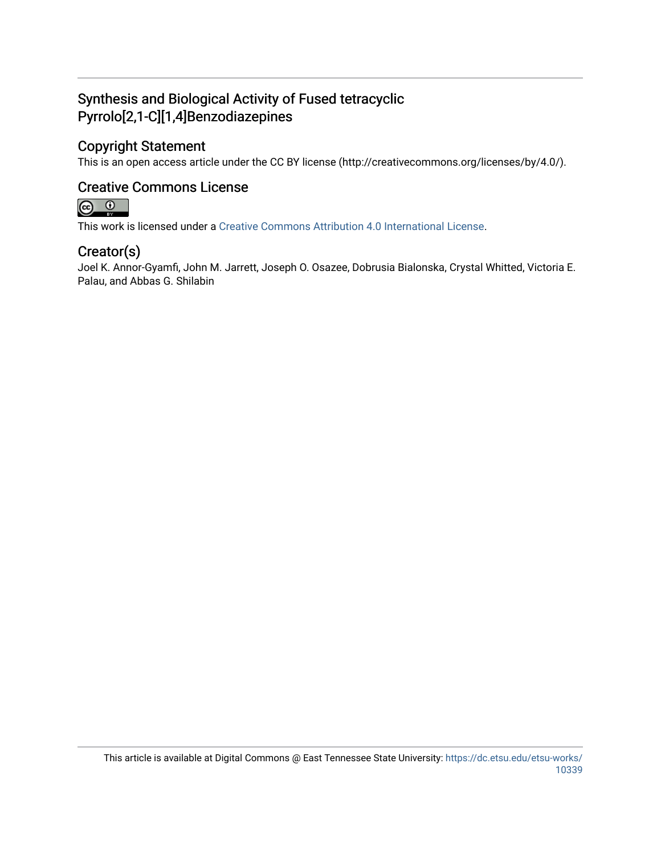## Synthesis and Biological Activity of Fused tetracyclic Pyrrolo[2,1-C][1,4]Benzodiazepines

## Copyright Statement

This is an open access article under the CC BY license (http://creativecommons.org/licenses/by/4.0/).

### Creative Commons License



This work is licensed under a [Creative Commons Attribution 4.0 International License.](https://creativecommons.org/licenses/by/4.0/)

### Creator(s)

Joel K. Annor-Gyamfi, John M. Jarrett, Joseph O. Osazee, Dobrusia Bialonska, Crystal Whitted, Victoria E. Palau, and Abbas G. Shilabin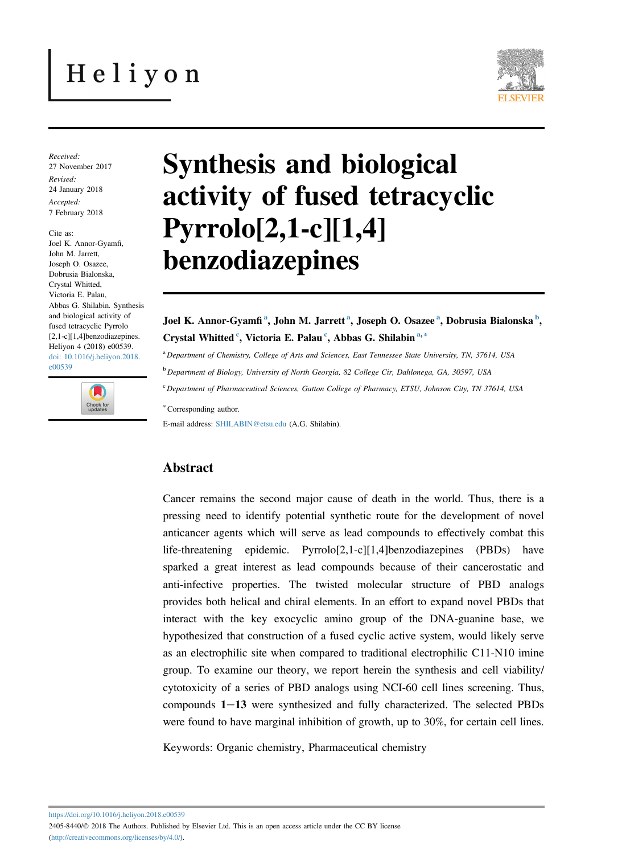# Heliyon



Received: 27 November 2017 Revised: 24 January 2018 Accepted: 7 February 2018

Cite as: Joel K. Annor-Gyamfi, John M. Jarrett, Joseph O. Osazee, Dobrusia Bialonska, Crystal Whitted, Victoria E. Palau, Abbas G. Shilabin. Synthesis and biological activity of fused tetracyclic Pyrrolo [2,1-c][1,4]benzodiazepines. Heliyon 4 (2018) e00539. [doi: 10.1016/j.heliyon.2018.](https://doi.org/10.1016/j.heliyon.2018.e00539) [e00539](https://doi.org/10.1016/j.heliyon.2018.e00539)



## Synthesis and biological activity of fused tetracyclic Pyrrolo[2,1-c][1,4] benzodiazepines

Joel K. Annor-Gyamfi<sup>a</sup>, John M. Jarrett<sup>a</sup>, Joseph O. Osazee<sup>a</sup>, Dobrusia Bialonska<sup>b</sup>, Crystal Whitted <sup>c</sup>, Victoria E. Palau <sup>c</sup>, Abbas G. Shilabin <sup>a,\*</sup>

<sup>a</sup> Department of Chemistry, College of Arts and Sciences, East Tennessee State University, TN, 37614, USA

<sup>b</sup> Department of Biology, University of North Georgia, 82 College Cir, Dahlonega, GA, 30597, USA

<sup>c</sup> Department of Pharmaceutical Sciences, Gatton College of Pharmacy, ETSU, Johnson City, TN 37614, USA

<sup>∗</sup>Corresponding author.

E-mail address: [SHILABIN@etsu.edu](mailto:SHILABIN@etsu.edu) (A.G. Shilabin).

#### Abstract

Cancer remains the second major cause of death in the world. Thus, there is a pressing need to identify potential synthetic route for the development of novel anticancer agents which will serve as lead compounds to effectively combat this life-threatening epidemic. Pyrrolo[2,1-c][1,4]benzodiazepines (PBDs) have sparked a great interest as lead compounds because of their cancerostatic and anti-infective properties. The twisted molecular structure of PBD analogs provides both helical and chiral elements. In an effort to expand novel PBDs that interact with the key exocyclic amino group of the DNA-guanine base, we hypothesized that construction of a fused cyclic active system, would likely serve as an electrophilic site when compared to traditional electrophilic C11-N10 imine group. To examine our theory, we report herein the synthesis and cell viability/ cytotoxicity of a series of PBD analogs using NCI-60 cell lines screening. Thus, compounds  $1-13$  were synthesized and fully characterized. The selected PBDs were found to have marginal inhibition of growth, up to 30%, for certain cell lines.

Keywords: Organic chemistry, Pharmaceutical chemistry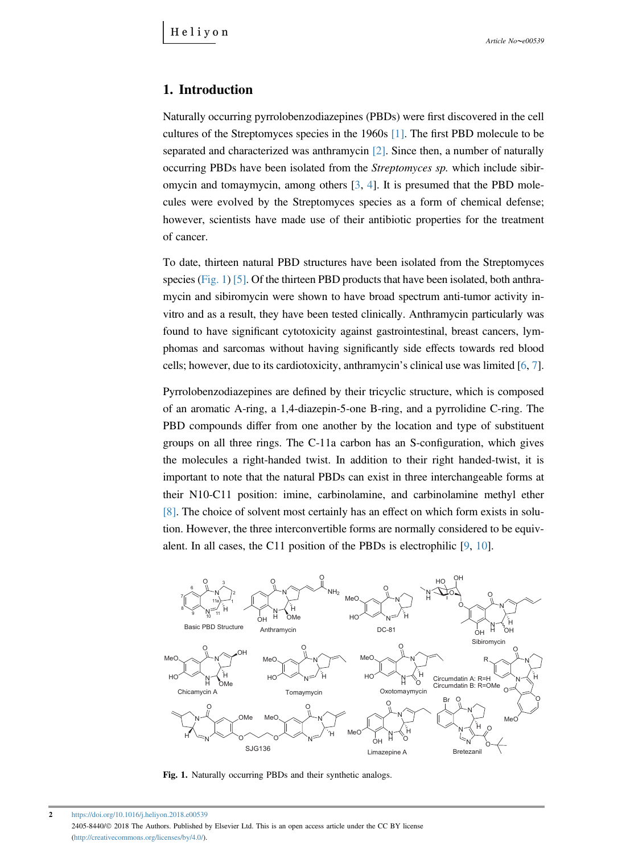#### 1. Introduction

Naturally occurring pyrrolobenzodiazepines (PBDs) were first discovered in the cell cultures of the Streptomyces species in the 1960s [\[1\].](#page-18-0) The first PBD molecule to be separated and characterized was anthramycin [\[2\]](#page-18-0). Since then, a number of naturally occurring PBDs have been isolated from the Streptomyces sp. which include sibiromycin and tomaymycin, among others [[3,](#page-18-0) [4](#page-18-0)]. It is presumed that the PBD molecules were evolved by the Streptomyces species as a form of chemical defense; however, scientists have made use of their antibiotic properties for the treatment of cancer.

To date, thirteen natural PBD structures have been isolated from the Streptomyces species (Fig. 1) [\[5\]](#page-18-0). Of the thirteen PBD products that have been isolated, both anthramycin and sibiromycin were shown to have broad spectrum anti-tumor activity invitro and as a result, they have been tested clinically. Anthramycin particularly was found to have significant cytotoxicity against gastrointestinal, breast cancers, lym-phomas and sarcomas without having significantly side effects towards red blood cells; however, due to its cardiotoxicity, anthramycin's clinical use was limited [\[6](#page-19-0), [7\]](#page-19-0).

Pyrrolobenzodiazepines are defined by their tricyclic structure, which is composed of an aromatic A-ring, a 1,4-diazepin-5-one B-ring, and a pyrrolidine C-ring. The PBD compounds differ from one another by the location and type of substituent groups on all three rings. The C-11a carbon has an S-configuration, which gives the molecules a right-handed twist. In addition to their right handed-twist, it is important to note that the natural PBDs can exist in three interchangeable forms at their N10-C11 position: imine, carbinolamine, and carbinolamine methyl ether [\[8\]](#page-19-0). The choice of solvent most certainly has an effect on which form exists in solution. However, the three interconvertible forms are normally considered to be equivalent. In all cases, the C11 position of the PBDs is electrophilic [[9,](#page-19-0) [10](#page-19-0)].



Fig. 1. Naturally occurring PBDs and their synthetic analogs.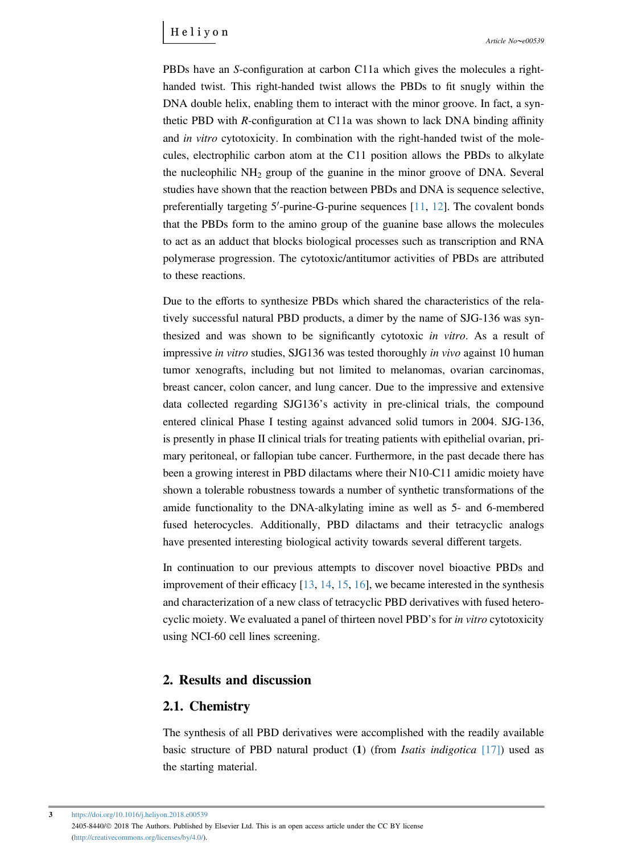PBDs have an S-configuration at carbon C11a which gives the molecules a righthanded twist. This right-handed twist allows the PBDs to fit snugly within the DNA double helix, enabling them to interact with the minor groove. In fact, a synthetic PBD with R-configuration at C11a was shown to lack DNA binding affinity and *in vitro* cytotoxicity. In combination with the right-handed twist of the molecules, electrophilic carbon atom at the C11 position allows the PBDs to alkylate the nucleophilic  $NH<sub>2</sub>$  group of the guanine in the minor groove of DNA. Several studies have shown that the reaction between PBDs and DNA is sequence selective, preferentially targeting  $5'$ -purine-G-purine sequences  $[11, 12]$  $[11, 12]$  $[11, 12]$ . The covalent bonds that the PBDs form to the amino group of the guanine base allows the molecules to act as an adduct that blocks biological processes such as transcription and RNA polymerase progression. The cytotoxic/antitumor activities of PBDs are attributed to these reactions.

Due to the efforts to synthesize PBDs which shared the characteristics of the relatively successful natural PBD products, a dimer by the name of SJG-136 was synthesized and was shown to be significantly cytotoxic in vitro. As a result of impressive in vitro studies, SJG136 was tested thoroughly in vivo against 10 human tumor xenografts, including but not limited to melanomas, ovarian carcinomas, breast cancer, colon cancer, and lung cancer. Due to the impressive and extensive data collected regarding SJG136's activity in pre-clinical trials, the compound entered clinical Phase I testing against advanced solid tumors in 2004. SJG-136, is presently in phase II clinical trials for treating patients with epithelial ovarian, primary peritoneal, or fallopian tube cancer. Furthermore, in the past decade there has been a growing interest in PBD dilactams where their N10-C11 amidic moiety have shown a tolerable robustness towards a number of synthetic transformations of the amide functionality to the DNA-alkylating imine as well as 5- and 6-membered fused heterocycles. Additionally, PBD dilactams and their tetracyclic analogs have presented interesting biological activity towards several different targets.

In continuation to our previous attempts to discover novel bioactive PBDs and improvement of their efficacy [[13,](#page-19-0) [14](#page-19-0), [15](#page-19-0), [16\]](#page-19-0), we became interested in the synthesis and characterization of a new class of tetracyclic PBD derivatives with fused hetero-<br>cyclic moiety. We evaluated a panel of thirteen novel PBD's for in vitro cytotoxicity using NCI-60 cell lines screening.

#### 2. Results and discussion

#### 2.1. Chemistry

The synthesis of all PBD derivatives were accomplished with the readily available basic structure of PBD natural product  $(1)$  (from *Isatis indigotica* [\[17\]](#page-19-0)) used as the starting material.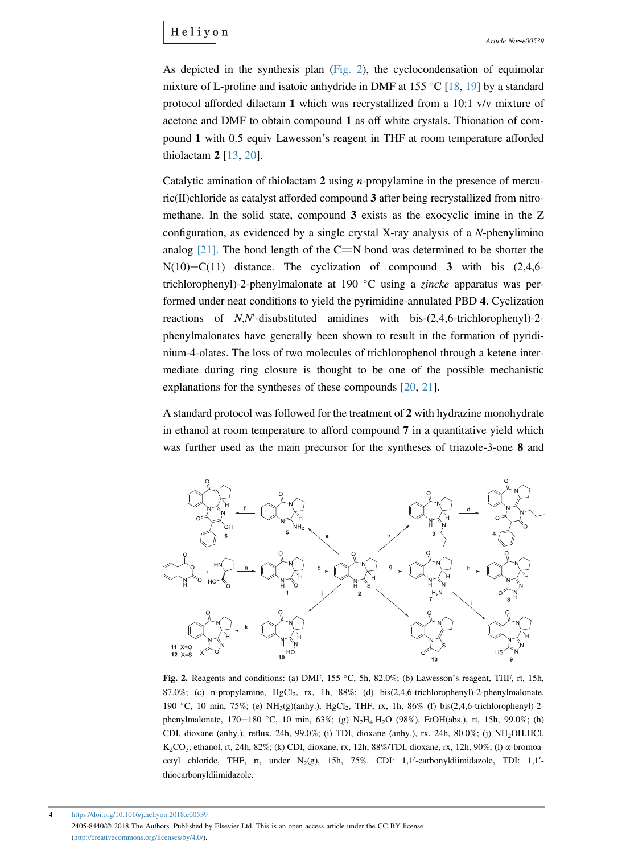As depicted in the synthesis plan (Fig. 2), the cyclocondensation of equimolar mixture of L-proline and isatoic anhydride in DMF at  $155 \text{ °C}$  [[18,](#page-20-0) [19\]](#page-20-0) by a standard protocol afforded dilactam 1 which was recrystallized from a 10:1 v/v mixture of acetone and DMF to obtain compound 1 as off white crystals. Thionation of com-pound <sup>1</sup> with 0.5 equiv Lawesson's reagent in THF at room temperature afforded thiolactam 2 [[13](#page-19-0), [20\]](#page-20-0).

Catalytic amination of thiolactam  $2$  using *n*-propylamine in the presence of mercuric(II)chloride as catalyst afforded compound 3 after being recrystallized from nitromethane. In the solid state, compound 3 exists as the exocyclic imine in the Z configuration, as evidenced by a single crystal X-ray analysis of a N-phenylimino analog [\[21\].](#page-20-0) The bond length of the C=N bond was determined to be shorter the  $N(10) - C(11)$  distance. The cyclization of compound 3 with bis  $(2,4,6$ trichlorophenyl)-2-phenylmalonate at 190  $^{\circ}$ C using a *zincke* apparatus was performed under neat conditions to yield the pyrimidine-annulated PBD 4. Cyclization reactions of  $N, N'$ -disubstituted amidines with bis- $(2, 4, 6$ -trichlorophenyl)-2phenylmalonates have generally been shown to result in the formation of pyridinium-4-olates. The loss of two molecules of trichlorophenol through a ketene intermediate during ring closure is thought to be one of the possible mechanistic explanations for the syntheses of these compounds [[20,](#page-20-0) [21](#page-20-0)].

A standard protocol was followed for the treatment of 2 with hydrazine monohydrate in ethanol at room temperature to afford compound 7 in a quantitative yield which was further used as the main precursor for the syntheses of triazole-3-one 8 and



87.0%; (c) n-propylamine, HgCl<sub>2</sub>, rx, 1h, 88%; (d) bis(2,4,6-trichlorophenyl)-2-phenylmalonate, 190 °C, 10 min, 75%; (e) NH<sub>3</sub>(g)(anhy.), HgCl<sub>2</sub>, THF, rx, 1h, 86% (f) bis(2,4,6-trichlorophenyl)-2phenylmalonate,  $170-180$  °C,  $10 \text{ min}$ ,  $63\%$ ; (g)  $N_2H_4.H_2O$  (98%), EtOH(abs.), rt,  $15h$ , 99.0%; (h) CDI, dioxane (anhy.), reflux, 24h, 99.0%; (i) TDI, dioxane (anhy.), rx, 24h, 80.0%; (j) NH2OH.HCl, K<sub>2</sub>CO<sub>3</sub>, ethanol, rt, 24h, 82%; (k) CDI, dioxane, rx, 12h, 88%/TDI, dioxane, rx, 12h, 90%; (l)  $\alpha$ -bromoacetyl chloride, THF, rt, under  $N_2(g)$ , 15h, 75%. CDI: 1,1'-carbonyldiimidazole, TDI: 1,1'thiocarbonyldiimidazole.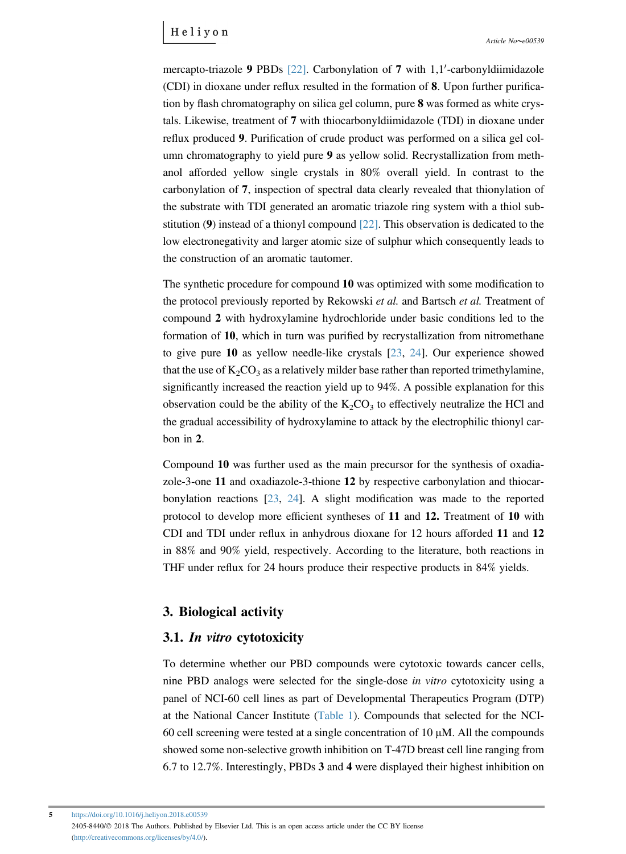mercapto-triazole 9 PBDs  $[22]$ . Carbonylation of 7 with 1,1'-carbonyldiimidazole (CDI) in dioxane under reflux resulted in the formation of 8. Upon further purification by flash chromatography on silica gel column, pure 8 was formed as white crystals. Likewise, treatment of 7 with thiocarbonyldiimidazole (TDI) in dioxane under reflux produced 9. Purification of crude product was performed on a silica gel column chromatography to yield pure 9 as yellow solid. Recrystallization from methanol afforded yellow single crystals in 80% overall yield. In contrast to the carbonylation of 7, inspection of spectral data clearly revealed that thionylation of the substrate with TDI generated an aromatic triazole ring system with a thiol substitution (9) instead of a thionyl compound [\[22\].](#page-20-0) This observation is dedicated to the low electronegativity and larger atomic size of sulphur which consequently leads to the construction of an aromatic tautomer.

The synthetic procedure for compound 10 was optimized with some modification to the protocol previously reported by Rekowski *et al.* and Bartsch *et al.* Treatment of compound 2 with hydroxylamine hydrochloride under basic conditions led to the formation of 10, which in turn was purified by recrystallization from nitromethane to give pure 10 as yellow needle-like crystals [[23,](#page-20-0) [24\]](#page-20-0). Our experience showed that the use of  $K_2CO_3$  as a relatively milder base rather than reported trimethylamine, significantly increased the reaction yield up to 94%. A possible explanation for this observation could be the ability of the  $K_2CO_3$  to effectively neutralize the HCl and the gradual accessibility of hydroxylamine to attack by the electrophilic thionyl carbon in 2.

Compound 10 was further used as the main precursor for the synthesis of oxadiazole-3-one 11 and oxadiazole-3-thione 12 by respective carbonylation and thiocarbonylation reactions [[23,](#page-20-0) [24](#page-20-0)]. A slight modification was made to the reported protocol to develop more efficient syntheses of 11 and 12. Treatment of 10 with CDI and TDI under reflux in anhydrous dioxane for 12 hours afforded 11 and 12 in 88% and 90% yield, respectively. According to the literature, both reactions in THF under reflux for 24 hours produce their respective products in 84% yields.

#### 3. Biological activity

#### 3.1. In vitro cytotoxicity

To determine whether our PBD compounds were cytotoxic towards cancer cells, nine PBD analogs were selected for the single-dose in vitro cytotoxicity using a panel of NCI-60 cell lines as part of Developmental Therapeutics Program (DTP) at the National Cancer Institute [\(Table 1\)](#page-7-0). Compounds that selected for the NCI-60 cell screening were tested at a single concentration of 10  $\mu$ M. All the compounds showed some non-selective growth inhibition on T-47D breast cell line ranging from 6.7 to 12.7%. Interestingly, PBDs 3 and 4 were displayed their highest inhibition on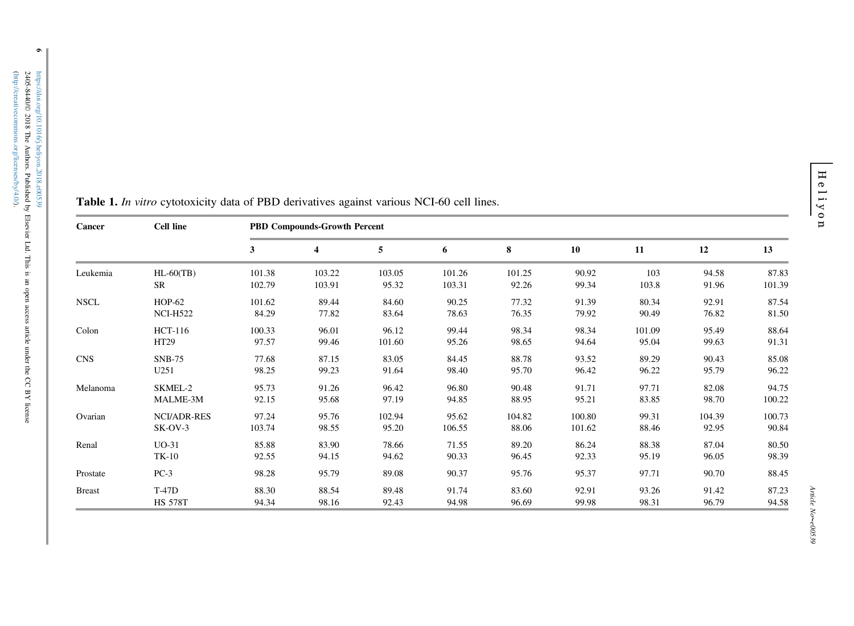| Cancer        | <b>Cell line</b>   | <b>PBD Compounds-Growth Percent</b> |        |        |        |        |        |        |        |        |
|---------------|--------------------|-------------------------------------|--------|--------|--------|--------|--------|--------|--------|--------|
|               |                    | 3                                   | 4      | 5      | 6      | 8      | 10     | 11     | 12     | 13     |
| Leukemia      | $HL-60(TB)$        | 101.38                              | 103.22 | 103.05 | 101.26 | 101.25 | 90.92  | 103    | 94.58  | 87.83  |
|               | <b>SR</b>          | 102.79                              | 103.91 | 95.32  | 103.31 | 92.26  | 99.34  | 103.8  | 91.96  | 101.39 |
| <b>NSCL</b>   | <b>HOP-62</b>      | 101.62                              | 89.44  | 84.60  | 90.25  | 77.32  | 91.39  | 80.34  | 92.91  | 87.54  |
|               | <b>NCI-H522</b>    | 84.29                               | 77.82  | 83.64  | 78.63  | 76.35  | 79.92  | 90.49  | 76.82  | 81.50  |
| Colon         | HCT-116            | 100.33                              | 96.01  | 96.12  | 99.44  | 98.34  | 98.34  | 101.09 | 95.49  | 88.64  |
|               | HT29               | 97.57                               | 99.46  | 101.60 | 95.26  | 98.65  | 94.64  | 95.04  | 99.63  | 91.31  |
| <b>CNS</b>    | $SNB-75$           | 77.68                               | 87.15  | 83.05  | 84.45  | 88.78  | 93.52  | 89.29  | 90.43  | 85.08  |
|               | U251               | 98.25                               | 99.23  | 91.64  | 98.40  | 95.70  | 96.42  | 96.22  | 95.79  | 96.22  |
| Melanoma      | SKMEL-2            | 95.73                               | 91.26  | 96.42  | 96.80  | 90.48  | 91.71  | 97.71  | 82.08  | 94.75  |
|               | MALME-3M           | 92.15                               | 95.68  | 97.19  | 94.85  | 88.95  | 95.21  | 83.85  | 98.70  | 100.22 |
| Ovarian       | <b>NCI/ADR-RES</b> | 97.24                               | 95.76  | 102.94 | 95.62  | 104.82 | 100.80 | 99.31  | 104.39 | 100.73 |
|               | $SK-OV-3$          | 103.74                              | 98.55  | 95.20  | 106.55 | 88.06  | 101.62 | 88.46  | 92.95  | 90.84  |
| Renal         | $UO-31$            | 85.88                               | 83.90  | 78.66  | 71.55  | 89.20  | 86.24  | 88.38  | 87.04  | 80.50  |
|               | $TK-10$            | 92.55                               | 94.15  | 94.62  | 90.33  | 96.45  | 92.33  | 95.19  | 96.05  | 98.39  |
| Prostate      | $PC-3$             | 98.28                               | 95.79  | 89.08  | 90.37  | 95.76  | 95.37  | 97.71  | 90.70  | 88.45  |
| <b>Breast</b> | <b>T-47D</b>       | 88.30                               | 88.54  | 89.48  | 91.74  | 83.60  | 92.91  | 93.26  | 91.42  | 87.23  |
|               | <b>HS 578T</b>     | 94.34                               | 98.16  | 92.43  | 94.98  | 96.69  | 99.98  | 98.31  | 96.79  | 94.58  |

<span id="page-7-0"></span>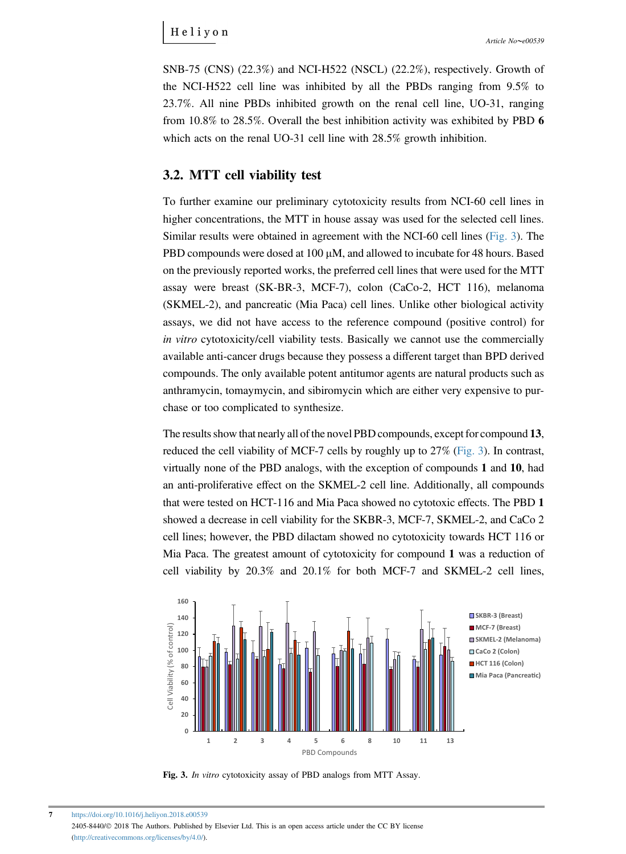<span id="page-8-0"></span>SNB-75 (CNS) (22.3%) and NCI-H522 (NSCL) (22.2%), respectively. Growth of the NCI-H522 cell line was inhibited by all the PBDs ranging from 9.5% to 23.7%. All nine PBDs inhibited growth on the renal cell line, UO-31, ranging from 10.8% to 28.5%. Overall the best inhibition activity was exhibited by PBD 6 which acts on the renal UO-31 cell line with  $28.5\%$  growth inhibition.

#### 3.2. MTT cell viability test

To further examine our preliminary cytotoxicity results from NCI-60 cell lines in higher concentrations, the MTT in house assay was used for the selected cell lines. Similar results were obtained in agreement with the NCI-60 cell lines (Fig. 3). The PBD compounds were dosed at  $100 \mu M$ , and allowed to incubate for 48 hours. Based on the previously reported works, the preferred cell lines that were used for the MTT assay were breast (SK-BR-3, MCF-7), colon (CaCo-2, HCT 116), melanoma (SKMEL-2), and pancreatic (Mia Paca) cell lines. Unlike other biological activity assays, we did not have access to the reference compound (positive control) for in vitro cytotoxicity/cell viability tests. Basically we cannot use the commercially available anti-cancer drugs because they possess a different target than BPD derived compounds. The only available potent antitumor agents are natural products such as anthramycin, tomaymycin, and sibiromycin which are either very expensive to purchase or too complicated to synthesize.

The results show that nearly all of the novel PBD compounds, except for compound 13, reduced the cell viability of MCF-7 cells by roughly up to 27% (Fig. 3). In contrast, virtually none of the PBD analogs, with the exception of compounds 1 and 10, had an anti-proliferative effect on the SKMEL-2 cell line. Additionally, all compounds that were tested on HCT-116 and Mia Paca showed no cytotoxic effects. The PBD 1 showed a decrease in cell viability for the SKBR-3, MCF-7, SKMEL-2, and CaCo 2 cell lines; however, the PBD dilactam showed no cytotoxicity towards HCT 116 or Mia Paca. The greatest amount of cytotoxicity for compound 1 was a reduction of cell viability by 20.3% and 20.1% for both MCF-7 and SKMEL-2 cell lines,



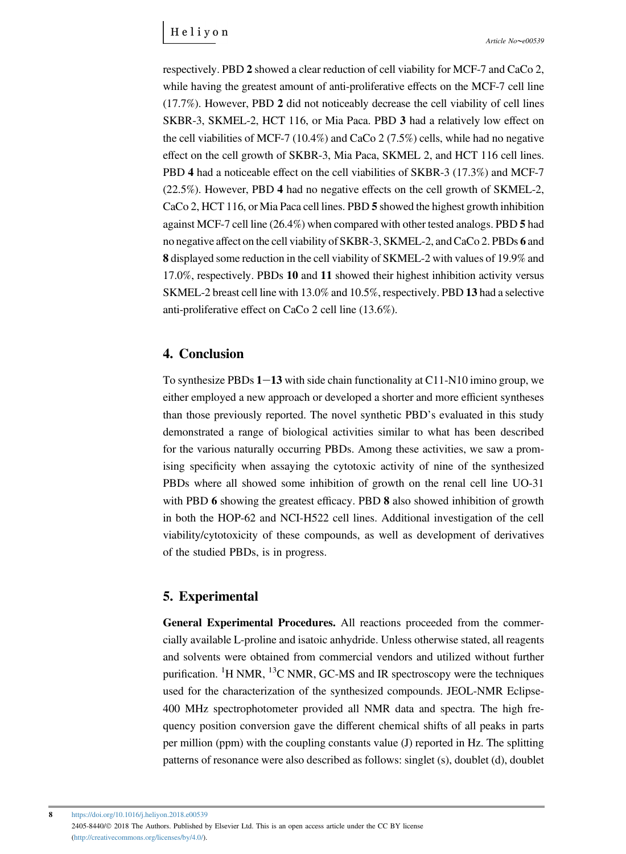respectively. PBD 2 showed a clear reduction of cell viability for MCF-7 and CaCo 2, while having the greatest amount of anti-proliferative effects on the MCF-7 cell line (17.7%). However, PBD 2 did not noticeably decrease the cell viability of cell lines SKBR-3, SKMEL-2, HCT 116, or Mia Paca. PBD 3 had a relatively low effect on the cell viabilities of MCF-7 (10.4%) and CaCo 2 (7.5%) cells, while had no negative effect on the cell growth of SKBR-3, Mia Paca, SKMEL 2, and HCT 116 cell lines. PBD 4 had a noticeable effect on the cell viabilities of SKBR-3 (17.3%) and MCF-7 (22.5%). However, PBD 4 had no negative effects on the cell growth of SKMEL-2, CaCo 2, HCT 116, or Mia Paca cell lines. PBD 5 showed the highest growth inhibition against MCF-7 cell line (26.4%) when compared with other tested analogs. PBD 5 had no negative affect on the cell viability of SKBR-3, SKMEL-2, and CaCo 2. PBDs 6 and 8 displayed some reduction in the cell viability of SKMEL-2 with values of 19.9% and 17.0%, respectively. PBDs 10 and 11 showed their highest inhibition activity versus SKMEL-2 breast cell line with 13.0% and 10.5%, respectively. PBD 13 had a selective anti-proliferative effect on CaCo 2 cell line (13.6%).

#### 4. Conclusion

To synthesize PBDs  $1-13$  with side chain functionality at C11-N10 imino group, we either employed a new approach or developed a shorter and more efficient syntheses than those previously reported. The novel synthetic PBD's evaluated in this study demonstrated a range of biological activities similar to what has been described for the various naturally occurring PBDs. Among these activities, we saw a promising specificity when assaying the cytotoxic activity of nine of the synthesized PBDs where all showed some inhibition of growth on the renal cell line UO-31 with PBD 6 showing the greatest efficacy. PBD 8 also showed inhibition of growth in both the HOP-62 and NCI-H522 cell lines. Additional investigation of the cell viability/cytotoxicity of these compounds, as well as development of derivatives of the studied PBDs, is in progress.

#### 5. Experimental

General Experimental Procedures. All reactions proceeded from the commercially available L-proline and isatoic anhydride. Unless otherwise stated, all reagents and solvents were obtained from commercial vendors and utilized without further purification. <sup>1</sup>H NMR, <sup>13</sup>C NMR, GC-MS and IR spectroscopy were the techniques used for the characterization of the synthesized compounds. JEOL-NMR Eclipse-400 MHz spectrophotometer provided all NMR data and spectra. The high frequency position conversion gave the different chemical shifts of all peaks in parts per million (ppm) with the coupling constants value (J) reported in Hz. The splitting patterns of resonance were also described as follows: singlet (s), doublet (d), doublet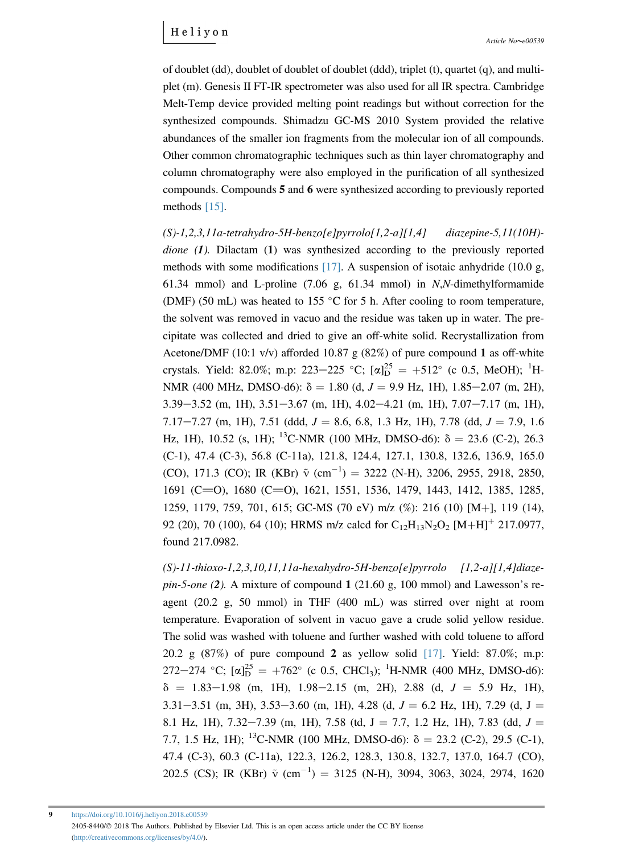of doublet (dd), doublet of doublet of doublet (ddd), triplet (t), quartet (q), and multiplet (m). Genesis II FT-IR spectrometer was also used for all IR spectra. Cambridge Melt-Temp device provided melting point readings but without correction for the synthesized compounds. Shimadzu GC-MS 2010 System provided the relative abundances of the smaller ion fragments from the molecular ion of all compounds. Other common chromatographic techniques such as thin layer chromatography and column chromatography were also employed in the purification of all synthesized compounds. Compounds 5 and 6 were synthesized according to previously reported methods [\[15\].](#page-19-0)

 $(S)-1,2,3,11a-tetrahydro-5H-benzo[e]pyrrolo[1,2-a][1,4]$  diazepine-5,11(10H)dione (1). Dilactam (1) was synthesized according to the previously reported methods with some modifications [\[17\].](#page-19-0) A suspension of isotaic anhydride (10.0 g, 61.34 mmol) and L-proline  $(7.06 \text{ g}, 61.34 \text{ mmol})$  in N,N-dimethylformamide (DMF) (50 mL) was heated to 155  $\degree$ C for 5 h. After cooling to room temperature, the solvent was removed in vacuo and the residue was taken up in water. The precipitate was collected and dried to give an off-white solid. Recrystallization from Acetone/DMF (10:1 v/v) afforded 10.87 g (82%) of pure compound 1 as off-white crystals. Yield: 82.0%; m.p: 223–225 °C;  $[\alpha]_D^{25} = +512$ ° (c 0.5, MeOH); <sup>1</sup>H-NMR (400 MHz, DMSO-d6):  $\delta = 1.80$  (d,  $J = 9.9$  Hz, 1H), 1.85–2.07 (m, 2H),  $3.39 - 3.52$  (m, 1H),  $3.51 - 3.67$  (m, 1H),  $4.02 - 4.21$  (m, 1H),  $7.07 - 7.17$  (m, 1H), 7.17-7.27 (m, 1H), 7.51 (ddd,  $J = 8.6, 6.8, 1.3$  Hz, 1H), 7.78 (dd,  $J = 7.9, 1.6$ Hz, 1H), 10.52 (s, 1H); <sup>13</sup>C-NMR (100 MHz, DMSO-d6):  $\delta = 23.6$  (C-2), 26.3 (C-1), 47.4 (C-3), 56.8 (C-11a), 121.8, 124.4, 127.1, 130.8, 132.6, 136.9, 165.0 (CO), 171.3 (CO); IR (KBr)  $\tilde{v}$  (cm<sup>-1</sup>) = 3222 (N-H), 3206, 2955, 2918, 2850, 1691 (C=O), 1680 (C=O), 1621, 1551, 1536, 1479, 1443, 1412, 1385, 1285, 1259, 1179, 759, 701, 615; GC-MS (70 eV) m/z (%): 216 (10) [M+], 119 (14), 92 (20), 70 (100), 64 (10); HRMS m/z calcd for  $C_{12}H_{13}N_2O_2$  [M+H]<sup>+</sup> 217.0977, found 217.0982.

 $(S)-11$ -thioxo-1,2,3,10,11,11a-hexahydro-5H-benzo[e]pyrrolo  $[1,2-a][1,4]$ diaze $pin-5-one$  (2). A mixture of compound 1 (21.60 g, 100 mmol) and Lawesson's reagent (20.2 g, 50 mmol) in THF (400 mL) was stirred over night at room temperature. Evaporation of solvent in vacuo gave a crude solid yellow residue. The solid was washed with toluene and further washed with cold toluene to afford 20.2 g  $(87%)$  of pure compound 2 as yellow solid [\[17\].](#page-19-0) Yield: 87.0%; m.p: 272–274 °C;  $[\alpha]_D^{25} = +762$ ° (c 0.5, CHCl<sub>3</sub>); <sup>1</sup>H-NMR (400 MHz, DMSO-d6):  $\delta$  = 1.83-1.98 (m, 1H), 1.98-2.15 (m, 2H), 2.88 (d,  $J$  = 5.9 Hz, 1H), 3.31–3.51 (m, 3H), 3.53–3.60 (m, 1H), 4.28 (d,  $J = 6.2$  Hz, 1H), 7.29 (d,  $J =$ 8.1 Hz, 1H),  $7.32-7.39$  (m, 1H),  $7.58$  (td,  $J = 7.7$ , 1.2 Hz, 1H), 7.83 (dd,  $J =$ 7.7, 1.5 Hz, 1H); <sup>13</sup>C-NMR (100 MHz, DMSO-d6):  $\delta = 23.2$  (C-2), 29.5 (C-1), 47.4 (C-3), 60.3 (C-11a), 122.3, 126.2, 128.3, 130.8, 132.7, 137.0, 164.7 (CO), 202.5 (CS); IR (KBr)  $\tilde{v}$  (cm<sup>-1</sup>) = 3125 (N-H), 3094, 3063, 3024, 2974, 1620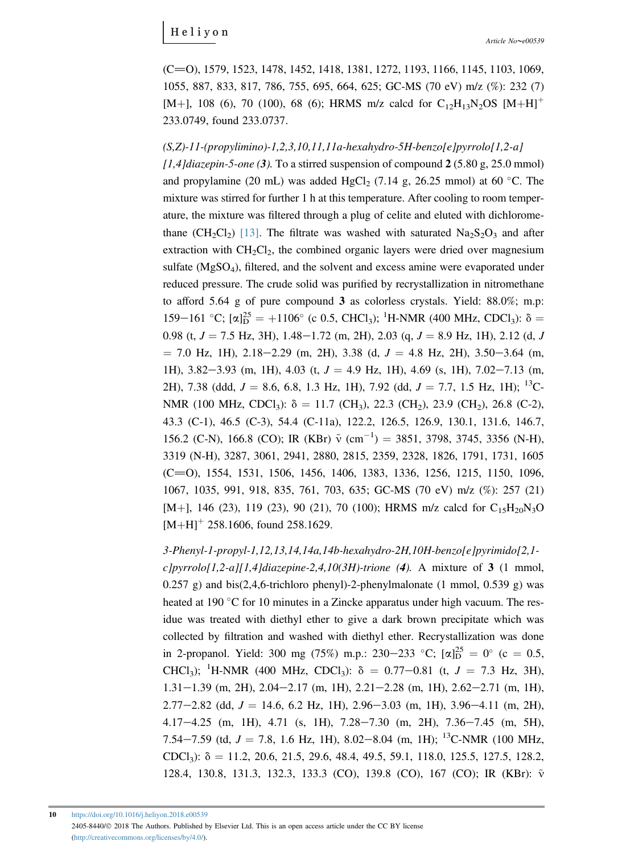(C=O), 1579, 1523, 1478, 1452, 1418, 1381, 1272, 1193, 1166, 1145, 1103, 1069, 1055, 887, 833, 817, 786, 755, 695, 664, 625; GC-MS (70 eV) m/z (%): 232 (7) [M+], 108 (6), 70 (100), 68 (6); HRMS m/z calcd for  $C_{12}H_{13}N_2OS$  [M+H]<sup>+</sup> 233.0749, found 233.0737.

 $(S,Z)-11$ -(propylimino)-1,2,3,10,11,11a-hexahydro-5H-benzo[e]pyrrolo[1,2-a]  $[1.4]$ diazepin-5-one (3). To a stirred suspension of compound 2 (5.80 g, 25.0 mmol) and propylamine (20 mL) was added  $HgCl_2$  (7.14 g, 26.25 mmol) at 60 °C. The mixture was stirred for further 1 h at this temperature. After cooling to room temperature, the mixture was filtered through a plug of celite and eluted with dichlorome-thane (CH<sub>2</sub>Cl<sub>2</sub>) [\[13\]](#page-19-0). The filtrate was washed with saturated  $Na<sub>2</sub>S<sub>2</sub>O<sub>3</sub>$  and after extraction with  $CH<sub>2</sub>Cl<sub>2</sub>$ , the combined organic layers were dried over magnesium sulfate  $(MgSO<sub>4</sub>)$ , filtered, and the solvent and excess amine were evaporated under reduced pressure. The crude solid was purified by recrystallization in nitromethane to afford 5.64 g of pure compound 3 as colorless crystals. Yield: 88.0%; m.p: 159–161 °C;  $[\alpha]_D^{25} = +1106$ ° (c 0.5, CHCl<sub>3</sub>); <sup>1</sup>H-NMR (400 MHz, CDCl<sub>3</sub>):  $\delta =$ 0.98 (t,  $J = 7.5$  Hz, 3H), 1.48–1.72 (m, 2H), 2.03 (q,  $J = 8.9$  Hz, 1H), 2.12 (d, J  $= 7.0$  Hz, 1H), 2.18–2.29 (m, 2H), 3.38 (d,  $J = 4.8$  Hz, 2H), 3.50–3.64 (m, 1H),  $3.82-3.93$  (m, 1H),  $4.03$  (t,  $J = 4.9$  Hz, 1H),  $4.69$  (s, 1H),  $7.02-7.13$  (m, 2H), 7.38 (ddd,  $J = 8.6, 6.8, 1.3$  Hz, 1H), 7.92 (dd,  $J = 7.7, 1.5$  Hz, 1H);  $^{13}$ C-NMR (100 MHz, CDCl<sub>3</sub>):  $\delta = 11.7$  (CH<sub>3</sub>), 22.3 (CH<sub>2</sub>), 23.9 (CH<sub>2</sub>), 26.8 (C-2), 43.3 (C-1), 46.5 (C-3), 54.4 (C-11a), 122.2, 126.5, 126.9, 130.1, 131.6, 146.7, 156.2 (C-N), 166.8 (CO); IR (KBr)  $\tilde{v}$  (cm<sup>-1</sup>) = 3851, 3798, 3745, 3356 (N-H), 3319 (N-H), 3287, 3061, 2941, 2880, 2815, 2359, 2328, 1826, 1791, 1731, 1605 (C=O), 1554, 1531, 1506, 1456, 1406, 1383, 1336, 1256, 1215, 1150, 1096, 1067, 1035, 991, 918, 835, 761, 703, 635; GC-MS (70 eV) m/z (%): 257 (21) [M+], 146 (23), 119 (23), 90 (21), 70 (100); HRMS m/z calcd for  $C_{15}H_{20}N_3O$  $[M+H]$ <sup>+</sup> 258.1606, found 258.1629.

3-Phenyl-1-propyl-1,12,13,14,14a,14b-hexahydro-2H,10H-benzo[e]pyrimido[2,1 c]pyrrolo[1,2-a][1,4]diazepine-2,4,10(3H)-trione (4). A mixture of 3 (1 mmol, 0.257 g) and bis(2,4,6-trichloro phenyl)-2-phenylmalonate (1 mmol, 0.539 g) was heated at 190 °C for 10 minutes in a Zincke apparatus under high vacuum. The residue was treated with diethyl ether to give a dark brown precipitate which was collected by filtration and washed with diethyl ether. Recrystallization was done in 2-propanol. Yield: 300 mg (75%) m.p.: 230–233 °C;  $[\alpha]_D^{25} = 0$ ° (c = 0.5, CHCl<sub>3</sub>); <sup>1</sup>H-NMR (400 MHz, CDCl<sub>3</sub>):  $\delta = 0.77 - 0.81$  (t,  $J = 7.3$  Hz, 3H),  $1.31-1.39$  (m, 2H),  $2.04-2.17$  (m, 1H),  $2.21-2.28$  (m, 1H),  $2.62-2.71$  (m, 1H),  $2.77-2.82$  (dd,  $J = 14.6, 6.2$  Hz, 1H),  $2.96-3.03$  (m, 1H),  $3.96-4.11$  (m, 2H),  $4.17-4.25$  (m, 1H),  $4.71$  (s, 1H),  $7.28-7.30$  (m, 2H),  $7.36-7.45$  (m, 5H), 7.54–7.59 (td,  $J = 7.8$ , 1.6 Hz, 1H), 8.02–8.04 (m, 1H); <sup>13</sup>C-NMR (100 MHz, CDCl<sub>3</sub>):  $\delta = 11.2, 20.6, 21.5, 29.6, 48.4, 49.5, 59.1, 118.0, 125.5, 127.5, 128.2,$ 128.4, 130.8, 131.3, 132.3, 133.3 (CO), 139.8 (CO), 167 (CO); IR (KBr):  $\tilde{v}$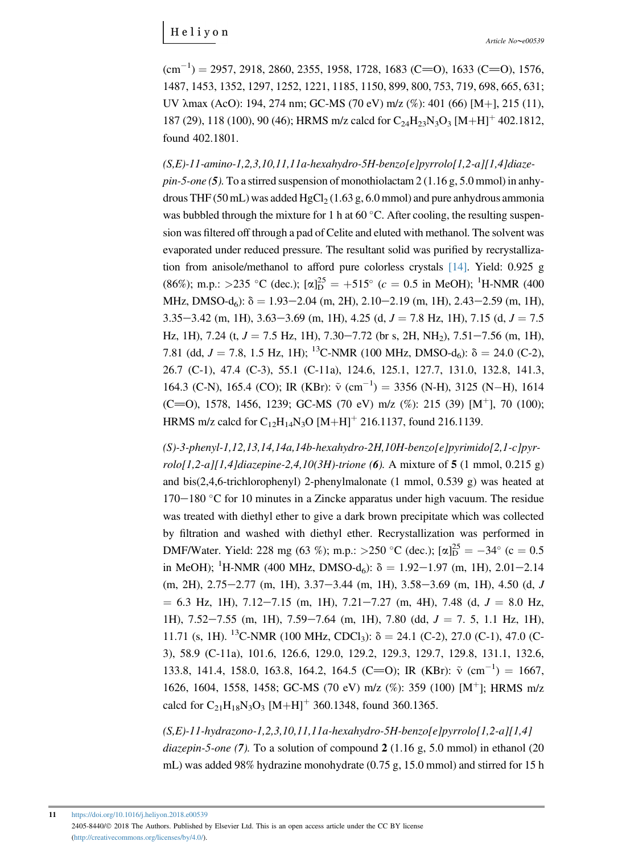$(cm<sup>-1</sup>) = 2957, 2918, 2860, 2355, 1958, 1728, 1683 (C=0), 1633 (C=0), 1576,$ 1487, 1453, 1352, 1297, 1252, 1221, 1185, 1150, 899, 800, 753, 719, 698, 665, 631; UV  $\lambda$ max (AcO): 194, 274 nm; GC-MS (70 eV) m/z (%): 401 (66) [M+], 215 (11), 187 (29), 118 (100), 90 (46); HRMS m/z calcd for  $C_{24}H_{23}N_{3}O_{3} [M+H]^{+}$  402.1812, found 402.1801.

 $(S,E)$ -11-amino-1,2,3,10,11,11a-hexahydro-5H-benzo[e]pyrrolo[1,2-a][1,4]diaze $pin-5-one$  (5). To a stirred suspension of monothiolactam 2 (1.16 g, 5.0 mmol) in anhydrous THF (50 mL) was added HgCl<sub>2</sub> (1.63 g, 6.0 mmol) and pure anhydrous ammonia was bubbled through the mixture for 1 h at  $60^{\circ}$ C. After cooling, the resulting suspension was filtered off through a pad of Celite and eluted with methanol. The solvent was evaporated under reduced pressure. The resultant solid was purified by recrystallization from anisole/methanol to afford pure colorless crystals [\[14\]](#page-19-0). Yield: 0.925 g (86%); m.p.: >235 °C (dec.);  $[\alpha]_D^{25} = +515$ ° ( $c = 0.5$  in MeOH); <sup>1</sup>H-NMR (400 MHz, DMSO-d<sub>6</sub>):  $\delta = 1.93 - 2.04$  (m, 2H), 2.10–2.19 (m, 1H), 2.43–2.59 (m, 1H),  $3.35-3.42$  (m, 1H),  $3.63-3.69$  (m, 1H),  $4.25$  (d,  $J = 7.8$  Hz, 1H),  $7.15$  (d,  $J = 7.5$ ) Hz, 1H), 7.24 (t,  $J = 7.5$  Hz, 1H), 7.30–7.72 (br s, 2H, NH<sub>2</sub>), 7.51–7.56 (m, 1H), 7.81 (dd,  $J = 7.8$ , 1.5 Hz, 1H); <sup>13</sup>C-NMR (100 MHz, DMSO-d<sub>6</sub>):  $\delta = 24.0$  (C-2), 26.7 (C-1), 47.4 (C-3), 55.1 (C-11a), 124.6, 125.1, 127.7, 131.0, 132.8, 141.3, 164.3 (C-N), 165.4 (CO); IR (KBr):  $\tilde{v}$  (cm<sup>-1</sup>) = 3356 (N-H), 3125 (N-H), 1614 (C=O), 1578, 1456, 1239; GC-MS (70 eV) m/z (%): 215 (39)  $[M^+]$ , 70 (100); HRMS m/z calcd for  $C_{12}H_{14}N_3O$  [M+H]<sup>+</sup> 216.1137, found 216.1139.

 $(S)$ -3-phenyl-1,12,13,14,14a,14b-hexahydro-2H,10H-benzo[e]pyrimido[2,1-c]pyr $rolo[1,2-a][1,4] dia zepine-2,4,10(3H)-trione (6)$ . A mixture of 5 (1 mmol, 0.215 g) and bis(2,4,6-trichlorophenyl) 2-phenylmalonate (1 mmol, 0.539 g) was heated at  $170-180$  °C for 10 minutes in a Zincke apparatus under high vacuum. The residue was treated with diethyl ether to give a dark brown precipitate which was collected by filtration and washed with diethyl ether. Recrystallization was performed in DMF/Water. Yield: 228 mg (63 %); m.p.: >250 °C (dec.);  $[\alpha]_D^{25} = -34$ ° (c = 0.5 in MeOH); <sup>1</sup>H-NMR (400 MHz, DMSO-d<sub>6</sub>):  $\delta = 1.92 - 1.97$  (m, 1H), 2.01-2.14  $(m, 2H)$ ,  $2.75-2.77$   $(m, 1H)$ ,  $3.37-3.44$   $(m, 1H)$ ,  $3.58-3.69$   $(m, 1H)$ ,  $4.50$   $(d, J)$  $= 6.3$  Hz, 1H), 7.12-7.15 (m, 1H), 7.21-7.27 (m, 4H), 7.48 (d,  $J = 8.0$  Hz, 1H),  $7.52-7.55$  (m, 1H),  $7.59-7.64$  (m, 1H),  $7.80$  (dd,  $J = 7.5$ , 1.1 Hz, 1H), 11.71 (s, 1H). <sup>13</sup>C-NMR (100 MHz, CDCl<sub>3</sub>):  $\delta = 24.1$  (C-2), 27.0 (C-1), 47.0 (C-3), 58.9 (C-11a), 101.6, 126.6, 129.0, 129.2, 129.3, 129.7, 129.8, 131.1, 132.6, 133.8, 141.4, 158.0, 163.8, 164.2, 164.5 (C=O); IR (KBr):  $\tilde{v}$  (cm<sup>-1</sup>) = 1667, 1626, 1604, 1558, 1458; GC-MS (70 eV) m/z (%): 359 (100) [M<sup>+</sup>]; HRMS m/z calcd for  $C_{21}H_{18}N_3O_3$  [M+H]<sup>+</sup> 360.1348, found 360.1365.

 $(S, E)$ -11-hydrazono-1,2,3,10,11,11a-hexahydro-5H-benzo[e]pyrrolo[1,2-a][1,4] diazepin-5-one (7). To a solution of compound  $2(1.16 \text{ g}, 5.0 \text{ mmol})$  in ethanol (20 mL) was added 98% hydrazine monohydrate (0.75 g, 15.0 mmol) and stirred for 15 h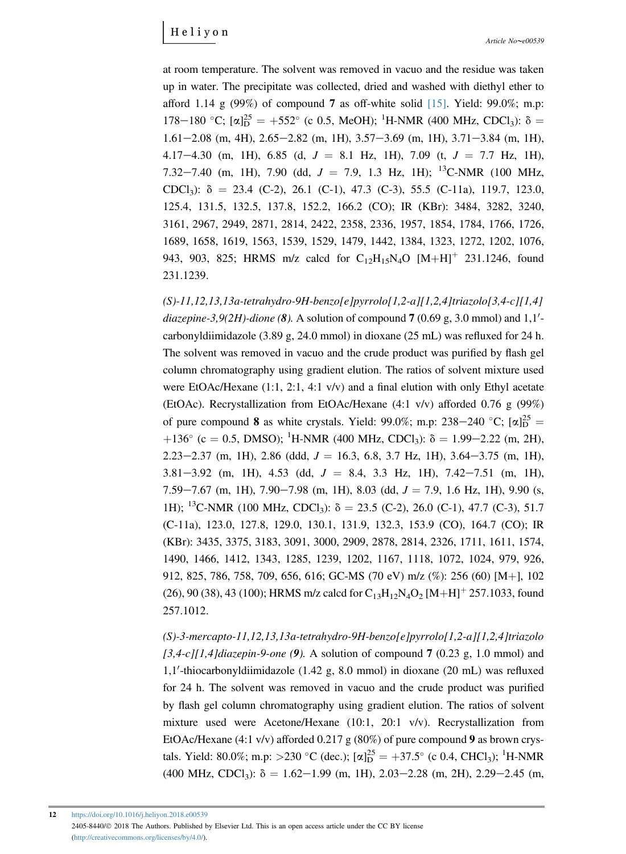at room temperature. The solvent was removed in vacuo and the residue was taken up in water. The precipitate was collected, dried and washed with diethyl ether to afford 1.14 g  $(99\%)$  of compound 7 as off-white solid [\[15\]](#page-19-0). Yield: 99.0%; m.p: 178–180 °C;  $[\alpha]_D^{25} = +552$ ° (c 0.5, MeOH); <sup>1</sup>H-NMR (400 MHz, CDCl<sub>3</sub>):  $\delta =$  $1.61-2.08$  (m, 4H),  $2.65-2.82$  (m, 1H),  $3.57-3.69$  (m, 1H),  $3.71-3.84$  (m, 1H), 4.17-4.30 (m, 1H), 6.85 (d,  $J = 8.1$  Hz, 1H), 7.09 (t,  $J = 7.7$  Hz, 1H), 7.32-7.40 (m, 1H), 7.90 (dd,  $J = 7.9$ , 1.3 Hz, 1H); <sup>13</sup>C-NMR (100 MHz, CDCl<sub>3</sub>):  $\delta = 23.4$  (C-2), 26.1 (C-1), 47.3 (C-3), 55.5 (C-11a), 119.7, 123.0, 125.4, 131.5, 132.5, 137.8, 152.2, 166.2 (CO); IR (KBr): 3484, 3282, 3240, 3161, 2967, 2949, 2871, 2814, 2422, 2358, 2336, 1957, 1854, 1784, 1766, 1726, 1689, 1658, 1619, 1563, 1539, 1529, 1479, 1442, 1384, 1323, 1272, 1202, 1076, 943, 903, 825; HRMS m/z calcd for  $C_{12}H_{15}N_4O$   $[M+H]^+$  231.1246, found 231.1239.

(S)-11,12,13,13a-tetrahydro-9H-benzo[e]pyrrolo[1,2-a][1,2,4]triazolo[3,4-c][1,4] diazepine-3,9(2H)-dione (8). A solution of compound  $7$  (0.69 g, 3.0 mmol) and  $1,1'$ carbonyldiimidazole (3.89 g, 24.0 mmol) in dioxane (25 mL) was refluxed for 24 h. The solvent was removed in vacuo and the crude product was purified by flash gel column chromatography using gradient elution. The ratios of solvent mixture used were EtOAc/Hexane  $(1:1, 2:1, 4:1 \text{ v/v})$  and a final elution with only Ethyl acetate (EtOAc). Recrystallization from EtOAc/Hexane (4:1 v/v) afforded 0.76 g (99%) of pure compound 8 as white crystals. Yield: 99.0%; m.p: 238-240 °C;  $[\alpha]_D^{25}$  =  $+136^{\circ}$  (c = 0.5, DMSO); <sup>1</sup>H-NMR (400 MHz, CDCl<sub>3</sub>):  $\delta = 1.99 - 2.22$  (m, 2H),  $2.23-2.37$  (m, 1H), 2.86 (ddd,  $J = 16.3, 6.8, 3.7$  Hz, 1H), 3.64-3.75 (m, 1H),  $3.81-3.92$  (m, 1H),  $4.53$  (dd,  $J = 8.4$ ,  $3.3$  Hz, 1H),  $7.42-7.51$  (m, 1H), 7.59 $-7.67$  (m, 1H), 7.90 $-7.98$  (m, 1H), 8.03 (dd,  $J = 7.9$ , 1.6 Hz, 1H), 9.90 (s, 1H); <sup>13</sup>C-NMR (100 MHz, CDCl<sub>3</sub>):  $\delta = 23.5$  (C-2), 26.0 (C-1), 47.7 (C-3), 51.7 (C-11a), 123.0, 127.8, 129.0, 130.1, 131.9, 132.3, 153.9 (CO), 164.7 (CO); IR (KBr): 3435, 3375, 3183, 3091, 3000, 2909, 2878, 2814, 2326, 1711, 1611, 1574, 1490, 1466, 1412, 1343, 1285, 1239, 1202, 1167, 1118, 1072, 1024, 979, 926, 912, 825, 786, 758, 709, 656, 616; GC-MS (70 eV) m/z (%): 256 (60) [Mþ], 102 (26), 90 (38), 43 (100); HRMS m/z calcd for  $C_{13}H_{12}N_4O_2$  [M+H]<sup>+</sup> 257.1033, found 257.1012.

 $(S)$ -3-mercapto-11,12,13,13a-tetrahydro-9H-benzo[e]pyrrolo[1,2-a][1,2,4]triazolo  $[3,4-c]/[1,4]$ diazepin-9-one (9). A solution of compound 7 (0.23 g, 1.0 mmol) and 1,1'-thiocarbonyldiimidazole (1.42 g, 8.0 mmol) in dioxane (20 mL) was refluxed for 24 h. The solvent was removed in vacuo and the crude product was purified by flash gel column chromatography using gradient elution. The ratios of solvent mixture used were Acetone/Hexane (10:1, 20:1 v/v). Recrystallization from EtOAc/Hexane (4:1 v/v) afforded 0.217 g (80%) of pure compound 9 as brown crystals. Yield: 80.0%; m.p: >230 °C (dec.);  $[\alpha]_{D}^{25} = +37.5^{\circ}$  (c 0.4, CHCl<sub>3</sub>); <sup>1</sup>H-NMR (400 MHz, CDCl<sub>3</sub>):  $\delta = 1.62-1.99$  (m, 1H), 2.03-2.28 (m, 2H), 2.29-2.45 (m,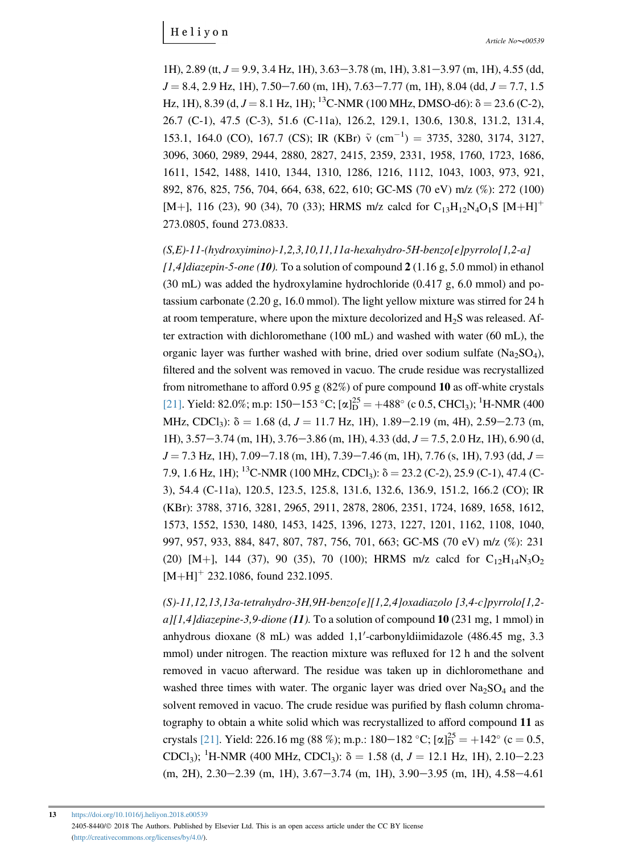1H), 2.89 (tt,  $J = 9.9$ , 3.4 Hz, 1H), 3.63–3.78 (m, 1H), 3.81–3.97 (m, 1H), 4.55 (dd,  $J = 8.4, 2.9$  Hz, 1H),  $7.50 - 7.60$  (m, 1H),  $7.63 - 7.77$  (m, 1H),  $8.04$  (dd,  $J = 7.7, 1.5$ Hz, 1H), 8.39 (d,  $J = 8.1$  Hz, 1H); <sup>13</sup>C-NMR (100 MHz, DMSO-d6):  $\delta = 23.6$  (C-2), 26.7 (C-1), 47.5 (C-3), 51.6 (C-11a), 126.2, 129.1, 130.6, 130.8, 131.2, 131.4, 153.1, 164.0 (CO), 167.7 (CS); IR (KBr)  $\tilde{v}$  (cm<sup>-1</sup>) = 3735, 3280, 3174, 3127, 3096, 3060, 2989, 2944, 2880, 2827, 2415, 2359, 2331, 1958, 1760, 1723, 1686, 1611, 1542, 1488, 1410, 1344, 1310, 1286, 1216, 1112, 1043, 1003, 973, 921, 892, 876, 825, 756, 704, 664, 638, 622, 610; GC-MS (70 eV) m/z (%): 272 (100) [M+], 116 (23), 90 (34), 70 (33); HRMS m/z calcd for  $C_{13}H_{12}N_4O_1S$  [M+H]<sup>+</sup> 273.0805, found 273.0833.

#### $(S,E)-11-(hydroxvimino)-1,2,3,10,11,11a-hexahydro-SH-benzo[e]pyrrolo[1,2-a]$

 $[1,4]$ diazepin-5-one (10). To a solution of compound 2 (1.16 g, 5.0 mmol) in ethanol (30 mL) was added the hydroxylamine hydrochloride (0.417 g, 6.0 mmol) and potassium carbonate (2.20 g, 16.0 mmol). The light yellow mixture was stirred for 24 h at room temperature, where upon the mixture decolorized and  $H_2S$  was released. After extraction with dichloromethane (100 mL) and washed with water (60 mL), the organic layer was further washed with brine, dried over sodium sulfate  $(Na_2SO_4)$ , filtered and the solvent was removed in vacuo. The crude residue was recrystallized from nitromethane to afford 0.95 g  $(82%)$  of pure compound 10 as off-white crystals [\[21\]](#page-20-0). Yield: 82.0%; m.p: 150–153 °C; [ $\alpha$ ] $_{\text{D}}^{25}$  = +488° (c 0.5, CHCl<sub>3</sub>); <sup>1</sup>H-NMR (400 MHz, CDCl<sub>3</sub>):  $\delta = 1.68$  (d,  $J = 11.7$  Hz, 1H), 1.89–2.19 (m, 4H), 2.59–2.73 (m, 1H),  $3.57-3.74$  (m, 1H),  $3.76-3.86$  (m, 1H),  $4.33$  (dd,  $J = 7.5$ , 2.0 Hz, 1H), 6.90 (d,  $J = 7.3$  Hz, 1H),  $7.09 - 7.18$  (m, 1H),  $7.39 - 7.46$  (m, 1H),  $7.76$  (s, 1H),  $7.93$  (dd,  $J =$ 7.9, 1.6 Hz, 1H); <sup>13</sup>C-NMR (100 MHz, CDCl<sub>3</sub>):  $\delta = 23.2$  (C-2), 25.9 (C-1), 47.4 (C-3), 54.4 (C-11a), 120.5, 123.5, 125.8, 131.6, 132.6, 136.9, 151.2, 166.2 (CO); IR (KBr): 3788, 3716, 3281, 2965, 2911, 2878, 2806, 2351, 1724, 1689, 1658, 1612, 1573, 1552, 1530, 1480, 1453, 1425, 1396, 1273, 1227, 1201, 1162, 1108, 1040, 997, 957, 933, 884, 847, 807, 787, 756, 701, 663; GC-MS (70 eV) m/z (%): 231 (20) [M+], 144 (37), 90 (35), 70 (100); HRMS m/z calcd for  $C_{12}H_{14}N_3O_2$  $[M+H]$ <sup>+</sup> 232.1086, found 232.1095.

(S)-11,12,13,13a-tetrahydro-3H,9H-benzo[e][1,2,4]oxadiazolo [3,4-c]pyrrolo[1,2  $a$ [[1,4]diazepine-3,9-dione (11). To a solution of compound 10 (231 mg, 1 mmol) in anhydrous dioxane  $(8 \text{ mL})$  was added  $1,1'$ -carbonyldiimidazole  $(486.45 \text{ mg}, 3.3)$ mmol) under nitrogen. The reaction mixture was refluxed for 12 h and the solvent removed in vacuo afterward. The residue was taken up in dichloromethane and washed three times with water. The organic layer was dried over  $Na<sub>2</sub>SO<sub>4</sub>$  and the solvent removed in vacuo. The crude residue was purified by flash column chromatography to obtain a white solid which was recrystallized to afford compound 11 as crystals [\[21\].](#page-20-0) Yield: 226.16 mg (88 %); m.p.: 180–182 °C; [ $\alpha$ ] $_{\text{D}}^{25}$  = +142° (c = 0.5, CDCl<sub>3</sub>); <sup>1</sup>H-NMR (400 MHz, CDCl<sub>3</sub>):  $\delta = 1.58$  (d,  $J = 12.1$  Hz, 1H), 2.10–2.23  $(m, 2H), 2.30-2.39$   $(m, 1H), 3.67-3.74$   $(m, 1H), 3.90-3.95$   $(m, 1H), 4.58-4.61$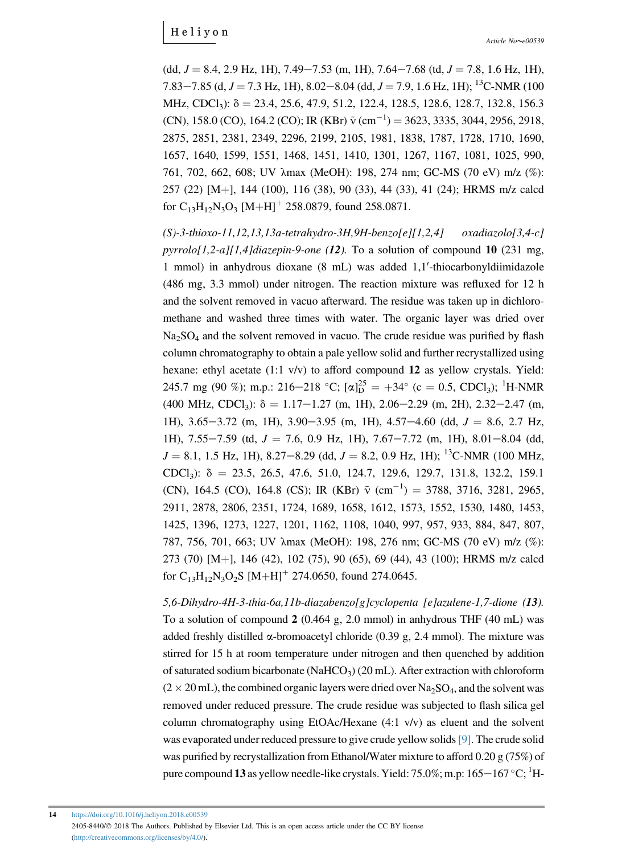$(dd, J = 8.4, 2.9$  Hz, 1H),  $7.49 - 7.53$  (m, 1H),  $7.64 - 7.68$  (td,  $J = 7.8, 1.6$  Hz, 1H), 7.83–7.85 (d,  $J = 7.3$  Hz, 1H), 8.02–8.04 (dd,  $J = 7.9$ , 1.6 Hz, 1H); <sup>13</sup>C-NMR (100 MHz, CDCl<sub>3</sub>):  $\delta = 23.4, 25.6, 47.9, 51.2, 122.4, 128.5, 128.6, 128.7, 132.8, 156.3$ (CN), 158.0 (CO), 164.2 (CO); IR (KBr)  $\tilde{v}$  (cm<sup>-1</sup>) = 3623, 3335, 3044, 2956, 2918, 2875, 2851, 2381, 2349, 2296, 2199, 2105, 1981, 1838, 1787, 1728, 1710, 1690, 1657, 1640, 1599, 1551, 1468, 1451, 1410, 1301, 1267, 1167, 1081, 1025, 990, 761, 702, 662, 608; UV lmax (MeOH): 198, 274 nm; GC-MS (70 eV) m/z (%): 257 (22) [M+], 144 (100), 116 (38), 90 (33), 44 (33), 41 (24); HRMS m/z calcd for  $C_{13}H_{12}N_3O_3$  [M+H]<sup>+</sup> 258.0879, found 258.0871.

(S)-3-thioxo-11,12,13,13a-tetrahydro-3H,9H-benzo[e][1,2,4] oxadiazolo[3,4-c] pyrrolo[1,2-a][1,4]diazepin-9-one (12). To a solution of compound 10 (231 mg, 1 mmol) in anhydrous dioxane  $(8 \text{ mL})$  was added  $1,1'$ -thiocarbonyldiimidazole (486 mg, 3.3 mmol) under nitrogen. The reaction mixture was refluxed for 12 h and the solvent removed in vacuo afterward. The residue was taken up in dichloromethane and washed three times with water. The organic layer was dried over  $Na<sub>2</sub>SO<sub>4</sub>$  and the solvent removed in vacuo. The crude residue was purified by flash column chromatography to obtain a pale yellow solid and further recrystallized using hexane: ethyl acetate (1:1 v/v) to afford compound 12 as yellow crystals. Yield: 245.7 mg (90 %); m.p.: 216–218 °C;  $[\alpha]_D^{25} = +34$ ° (c = 0.5, CDCl<sub>3</sub>); <sup>1</sup>H-NMR  $(400 \text{ MHz}, \text{CDCl}_3)$ :  $\delta = 1.17-1.27 \text{ (m, 1H)}$ , 2.06-2.29 (m, 2H), 2.32-2.47 (m, 1H), 3.65–3.72 (m, 1H), 3.90–3.95 (m, 1H), 4.57–4.60 (dd,  $J = 8.6$ , 2.7 Hz, 1H),  $7.55-7.59$  (td,  $J = 7.6$ , 0.9 Hz, 1H),  $7.67-7.72$  (m, 1H),  $8.01-8.04$  (dd,  $J = 8.1, 1.5$  Hz, 1H),  $8.27 - 8.29$  (dd,  $J = 8.2, 0.9$  Hz, 1H); <sup>13</sup>C-NMR (100 MHz, CDCl<sub>3</sub>):  $\delta = 23.5, 26.5, 47.6, 51.0, 124.7, 129.6, 129.7, 131.8, 132.2, 159.1$ (CN), 164.5 (CO), 164.8 (CS); IR (KBr)  $\tilde{v}$  (cm<sup>-1</sup>) = 3788, 3716, 3281, 2965, 2911, 2878, 2806, 2351, 1724, 1689, 1658, 1612, 1573, 1552, 1530, 1480, 1453, 1425, 1396, 1273, 1227, 1201, 1162, 1108, 1040, 997, 957, 933, 884, 847, 807, 787, 756, 701, 663; UV  $\lambda$ max (MeOH): 198, 276 nm; GC-MS (70 eV) m/z (%): 273 (70) [M+], 146 (42), 102 (75), 90 (65), 69 (44), 43 (100); HRMS m/z calcd for  $C_{13}H_{12}N_3O_2S$  [M+H]<sup>+</sup> 274.0650, found 274.0645.

5,6-Dihydro-4H-3-thia-6a,11b-diazabenzo[g]cyclopenta [e]azulene-1,7-dione (13). To a solution of compound 2 (0.464 g, 2.0 mmol) in anhydrous THF (40 mL) was added freshly distilled  $\alpha$ -bromoacetyl chloride (0.39 g, 2.4 mmol). The mixture was stirred for 15 h at room temperature under nitrogen and then quenched by addition of saturated sodium bicarbonate (NaHCO<sub>3</sub>) (20 mL). After extraction with chloroform  $(2 \times 20 \text{ mL})$ , the combined organic layers were dried over Na<sub>2</sub>SO<sub>4</sub>, and the solvent was removed under reduced pressure. The crude residue was subjected to flash silica gel column chromatography using EtOAc/Hexane  $(4:1 \text{ v/v})$  as eluent and the solvent was evaporated under reduced pressure to give crude yellow solids[\[9\].](#page-19-0) The crude solid was purified by recrystallization from Ethanol/Water mixture to afford 0.20 g (75%) of pure compound 13 as yellow needle-like crystals. Yield: 75.0%; m.p: 165 $-$ 167 °C;  $^1$ H-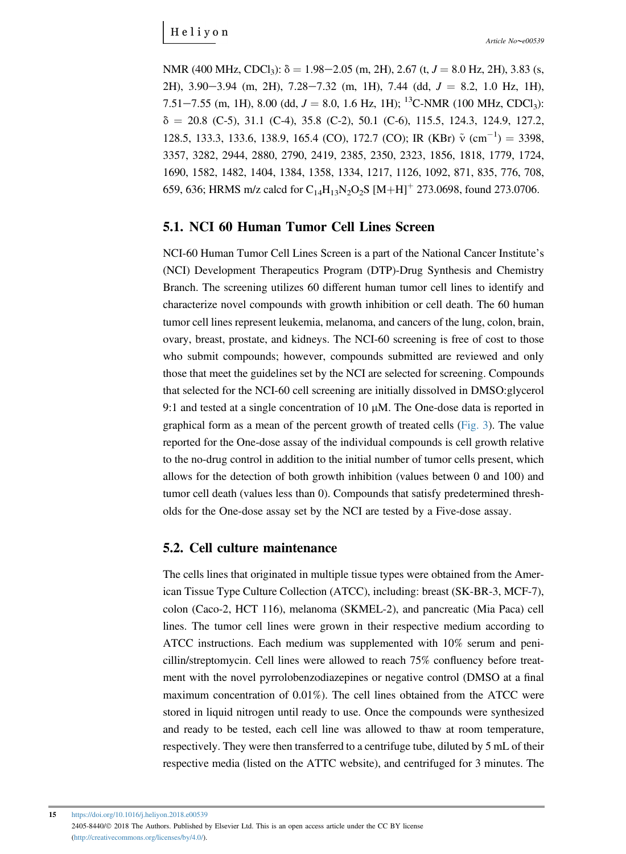NMR (400 MHz, CDCl<sub>3</sub>):  $\delta = 1.98 - 2.05$  (m, 2H), 2.67 (t,  $J = 8.0$  Hz, 2H), 3.83 (s, 2H), 3.90–3.94 (m, 2H),  $7.28-7.32$  (m, 1H), 7.44 (dd,  $J = 8.2$ , 1.0 Hz, 1H), 7.51–7.55 (m, 1H), 8.00 (dd,  $J = 8.0$ , 1.6 Hz, 1H); <sup>13</sup>C-NMR (100 MHz, CDCl<sub>3</sub>):  $\delta = 20.8$  (C-5), 31.1 (C-4), 35.8 (C-2), 50.1 (C-6), 115.5, 124.3, 124.9, 127.2, 128.5, 133.3, 133.6, 138.9, 165.4 (CO), 172.7 (CO); IR (KBr)  $\tilde{v}$  (cm<sup>-1</sup>) = 3398, 3357, 3282, 2944, 2880, 2790, 2419, 2385, 2350, 2323, 1856, 1818, 1779, 1724, 1690, 1582, 1482, 1404, 1384, 1358, 1334, 1217, 1126, 1092, 871, 835, 776, 708, 659, 636; HRMS m/z calcd for  $C_{14}H_{13}N_2O_2S$  [M+H]<sup>+</sup> 273.0698, found 273.0706.

#### 5.1. NCI 60 Human Tumor Cell Lines Screen

NCI-60 Human Tumor Cell Lines Screen is a part of the National Cancer Institute'<sup>s</sup> (NCI) Development Therapeutics Program (DTP)-Drug Synthesis and Chemistry Branch. The screening utilizes 60 different human tumor cell lines to identify and characterize novel compounds with growth inhibition or cell death. The 60 human tumor cell lines represent leukemia, melanoma, and cancers of the lung, colon, brain, ovary, breast, prostate, and kidneys. The NCI-60 screening is free of cost to those who submit compounds; however, compounds submitted are reviewed and only those that meet the guidelines set by the NCI are selected for screening. Compounds that selected for the NCI-60 cell screening are initially dissolved in DMSO:glycerol 9:1 and tested at a single concentration of 10  $\mu$ M. The One-dose data is reported in graphical form as a mean of the percent growth of treated cells [\(Fig. 3\)](#page-8-0). The value reported for the One-dose assay of the individual compounds is cell growth relative to the no-drug control in addition to the initial number of tumor cells present, which allows for the detection of both growth inhibition (values between 0 and 100) and tumor cell death (values less than 0). Compounds that satisfy predetermined thresholds for the One-dose assay set by the NCI are tested by a Five-dose assay.

#### 5.2. Cell culture maintenance

The cells lines that originated in multiple tissue types were obtained from the American Tissue Type Culture Collection (ATCC), including: breast (SK-BR-3, MCF-7), colon (Caco-2, HCT 116), melanoma (SKMEL-2), and pancreatic (Mia Paca) cell lines. The tumor cell lines were grown in their respective medium according to ATCC instructions. Each medium was supplemented with 10% serum and penicillin/streptomycin. Cell lines were allowed to reach 75% confluency before treatment with the novel pyrrolobenzodiazepines or negative control (DMSO at a final maximum concentration of 0.01%). The cell lines obtained from the ATCC were stored in liquid nitrogen until ready to use. Once the compounds were synthesized and ready to be tested, each cell line was allowed to thaw at room temperature, respectively. They were then transferred to a centrifuge tube, diluted by 5 mL of their respective media (listed on the ATTC website), and centrifuged for 3 minutes. The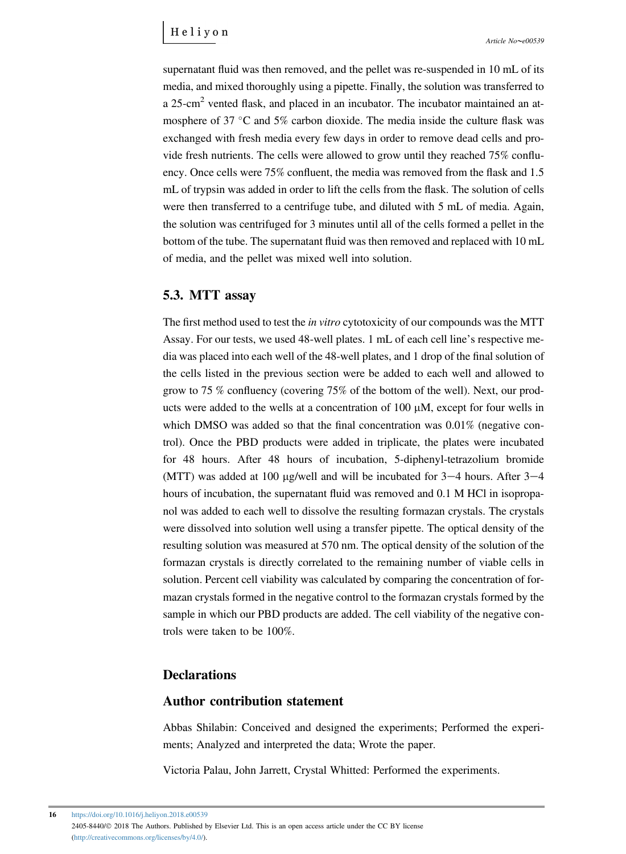supernatant fluid was then removed, and the pellet was re-suspended in 10 mL of its media, and mixed thoroughly using a pipette. Finally, the solution was transferred to a 25-cm<sup>2</sup> vented flask, and placed in an incubator. The incubator maintained an atmosphere of 37  $\degree$ C and 5% carbon dioxide. The media inside the culture flask was exchanged with fresh media every few days in order to remove dead cells and provide fresh nutrients. The cells were allowed to grow until they reached 75% confluency. Once cells were 75% confluent, the media was removed from the flask and 1.5 mL of trypsin was added in order to lift the cells from the flask. The solution of cells were then transferred to a centrifuge tube, and diluted with 5 mL of media. Again, the solution was centrifuged for 3 minutes until all of the cells formed a pellet in the bottom of the tube. The supernatant fluid was then removed and replaced with 10 mL of media, and the pellet was mixed well into solution.

#### 5.3. MTT assay

The first method used to test the *in vitro* cytotoxicity of our compounds was the MTT Assay. For our tests, we used 48-well plates. 1 mL of each cell line's respective media was placed into each well of the 48-well plates, and 1 drop of the final solution of the cells listed in the previous section were be added to each well and allowed to grow to 75 % confluency (covering 75% of the bottom of the well). Next, our products were added to the wells at a concentration of  $100 \mu M$ , except for four wells in which DMSO was added so that the final concentration was  $0.01\%$  (negative control). Once the PBD products were added in triplicate, the plates were incubated for 48 hours. After 48 hours of incubation, 5-diphenyl-tetrazolium bromide (MTT) was added at 100 µg/well and will be incubated for  $3-4$  hours. After  $3-4$ hours of incubation, the supernatant fluid was removed and  $0.1$  M HCl in isopropanol was added to each well to dissolve the resulting formazan crystals. The crystals were dissolved into solution well using a transfer pipette. The optical density of the resulting solution was measured at 570 nm. The optical density of the solution of the formazan crystals is directly correlated to the remaining number of viable cells in solution. Percent cell viability was calculated by comparing the concentration of formazan crystals formed in the negative control to the formazan crystals formed by the sample in which our PBD products are added. The cell viability of the negative controls were taken to be 100%.

#### **Declarations**

#### Author contribution statement

Abbas Shilabin: Conceived and designed the experiments; Performed the experiments; Analyzed and interpreted the data; Wrote the paper.

Victoria Palau, John Jarrett, Crystal Whitted: Performed the experiments.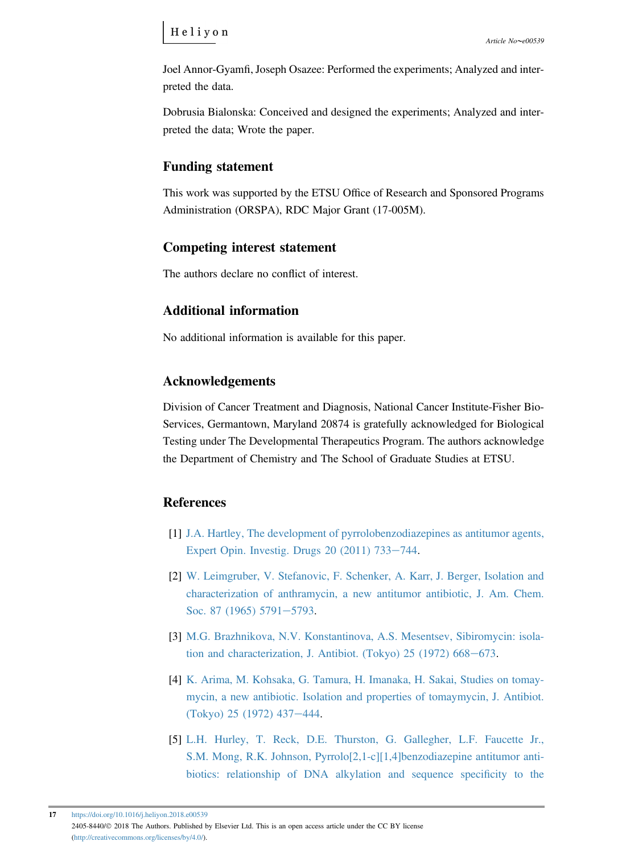<span id="page-18-0"></span>Joel Annor-Gyamfi, Joseph Osazee: Performed the experiments; Analyzed and interpreted the data.

Dobrusia Bialonska: Conceived and designed the experiments; Analyzed and interpreted the data; Wrote the paper.

#### Funding statement

This work was supported by the ETSU Office of Research and Sponsored Programs Administration (ORSPA), RDC Major Grant (17-005M).

#### Competing interest statement

The authors declare no conflict of interest.

#### Additional information

No additional information is available for this paper.

#### Acknowledgements

Division of Cancer Treatment and Diagnosis, National Cancer Institute-Fisher Bio-Services, Germantown, Maryland 20874 is gratefully acknowledged for Biological Testing under The Developmental Therapeutics Program. The authors acknowledge the Department of Chemistry and The School of Graduate Studies at ETSU.

#### **References**

- [1] [J.A. Hartley, The development of pyrrolobenzodiazepines as antitumor agents,](http://refhub.elsevier.com/S2405-8440(17)33591-0/sref1) Expert Opin. Investig. Drugs  $20(2011)$   $733-744$  $733-744$ .
- [2] [W. Leimgruber, V. Stefanovic, F. Schenker, A. Karr, J. Berger, Isolation and](http://refhub.elsevier.com/S2405-8440(17)33591-0/sref2) [characterization of anthramycin, a new antitumor antibiotic, J. Am. Chem.](http://refhub.elsevier.com/S2405-8440(17)33591-0/sref2) [Soc. 87 \(1965\) 5791](http://refhub.elsevier.com/S2405-8440(17)33591-0/sref2)-[5793](http://refhub.elsevier.com/S2405-8440(17)33591-0/sref2).
- [3] [M.G. Brazhnikova, N.V. Konstantinova, A.S. Mesentsev, Sibiromycin: isola](http://refhub.elsevier.com/S2405-8440(17)33591-0/sref3)tion and characterization, J. Antibiot. (Tokyo)  $25$  (1972) 668-[673.](http://refhub.elsevier.com/S2405-8440(17)33591-0/sref3)
- [4] [K. Arima, M. Kohsaka, G. Tamura, H. Imanaka, H. Sakai, Studies on tomay](http://refhub.elsevier.com/S2405-8440(17)33591-0/sref4)[mycin, a new antibiotic. Isolation and properties of tomaymycin, J. Antibiot.](http://refhub.elsevier.com/S2405-8440(17)33591-0/sref4)  $(Tokyo)$  25 (1972) 437–[444](http://refhub.elsevier.com/S2405-8440(17)33591-0/sref4).
- [5] [L.H. Hurley, T. Reck, D.E. Thurston, G. Gallegher, L.F. Faucette Jr.,](http://refhub.elsevier.com/S2405-8440(17)33591-0/sref5) [S.M. Mong, R.K. Johnson, Pyrrolo\[2,1-c\]\[1,4\]benzodiazepine antitumor anti](http://refhub.elsevier.com/S2405-8440(17)33591-0/sref5)[biotics: relationship of DNA alkylation and sequence speci](http://refhub.elsevier.com/S2405-8440(17)33591-0/sref5)ficity to the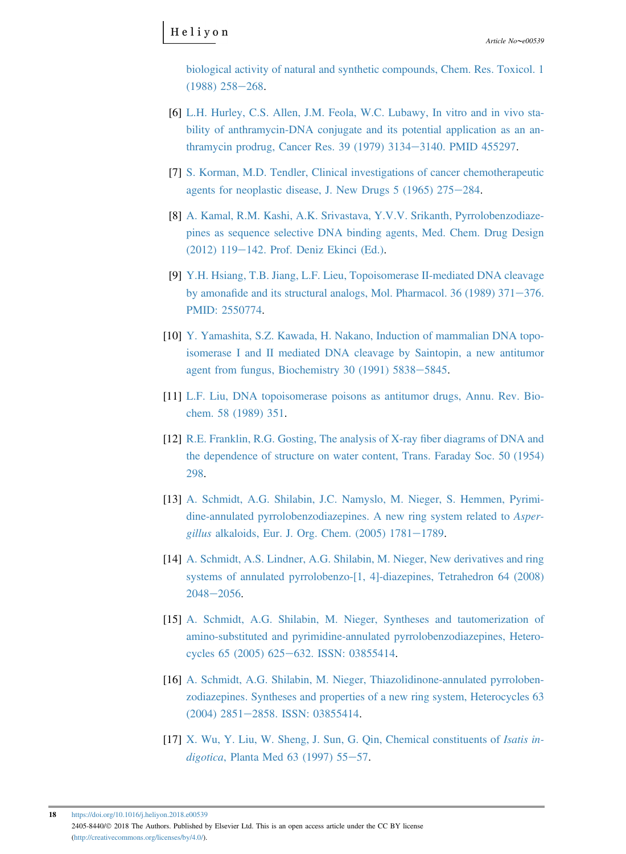<span id="page-19-0"></span>[biological activity of natural and synthetic compounds, Chem. Res. Toxicol. 1](http://refhub.elsevier.com/S2405-8440(17)33591-0/sref5)  $(1988)$  258-[268](http://refhub.elsevier.com/S2405-8440(17)33591-0/sref5).

- [6] [L.H. Hurley, C.S. Allen, J.M. Feola, W.C. Lubawy, In vitro and in vivo sta](http://refhub.elsevier.com/S2405-8440(17)33591-0/sref6)[bility of anthramycin-DNA conjugate and its potential application as an an](http://refhub.elsevier.com/S2405-8440(17)33591-0/sref6)[thramycin prodrug, Cancer Res. 39 \(1979\) 3134](http://refhub.elsevier.com/S2405-8440(17)33591-0/sref6)-[3140. PMID 455297.](http://refhub.elsevier.com/S2405-8440(17)33591-0/sref6)
- [7] [S. Korman, M.D. Tendler, Clinical investigations of cancer chemotherapeutic](http://refhub.elsevier.com/S2405-8440(17)33591-0/sref7) agents for neoplastic disease, J. New Drugs  $5$  (1965) 275 $-284$ .
- [8] [A. Kamal, R.M. Kashi, A.K. Srivastava, Y.V.V. Srikanth, Pyrrolobenzodiaze](http://refhub.elsevier.com/S2405-8440(17)33591-0/sref8)[pines as sequence selective DNA binding agents, Med. Chem. Drug Design](http://refhub.elsevier.com/S2405-8440(17)33591-0/sref8)  $(2012)$  119-[142. Prof. Deniz Ekinci \(Ed.\).](http://refhub.elsevier.com/S2405-8440(17)33591-0/sref8)
- [9] [Y.H. Hsiang, T.B. Jiang, L.F. Lieu, Topoisomerase II-mediated DNA cleavage](http://refhub.elsevier.com/S2405-8440(17)33591-0/sref9) by amonafide and its structural analogs, Mol. Pharmacol. 36 (1989)  $371-376$ . [PMID: 2550774.](http://refhub.elsevier.com/S2405-8440(17)33591-0/sref9)
- [10] [Y. Yamashita, S.Z. Kawada, H. Nakano, Induction of mammalian DNA topo](http://refhub.elsevier.com/S2405-8440(17)33591-0/sref10)[isomerase I and II mediated DNA cleavage by Saintopin, a new antitumor](http://refhub.elsevier.com/S2405-8440(17)33591-0/sref10) agent from fungus, Biochemistry 30 (1991)  $5838-5845$  $5838-5845$ .
- [11] [L.F. Liu, DNA topoisomerase poisons as antitumor drugs, Annu. Rev. Bio](http://refhub.elsevier.com/S2405-8440(17)33591-0/sref11)[chem. 58 \(1989\) 351](http://refhub.elsevier.com/S2405-8440(17)33591-0/sref11).
- [12] [R.E. Franklin, R.G. Gosting, The analysis of X-ray](http://refhub.elsevier.com/S2405-8440(17)33591-0/sref12) fiber diagrams of DNA and [the dependence of structure on water content, Trans. Faraday Soc. 50 \(1954\)](http://refhub.elsevier.com/S2405-8440(17)33591-0/sref12) [298](http://refhub.elsevier.com/S2405-8440(17)33591-0/sref12).
- [13] [A. Schmidt, A.G. Shilabin, J.C. Namyslo, M. Nieger, S. Hemmen, Pyrimi](http://refhub.elsevier.com/S2405-8440(17)33591-0/sref13)[dine-annulated pyrrolobenzodiazepines. A new ring system related to](http://refhub.elsevier.com/S2405-8440(17)33591-0/sref13) Aspergillus alkaloids, Eur. J. Org. Chem.  $(2005)$  1781-[1789](http://refhub.elsevier.com/S2405-8440(17)33591-0/sref13).
- [14] [A. Schmidt, A.S. Lindner, A.G. Shilabin, M. Nieger, New derivatives and ring](http://refhub.elsevier.com/S2405-8440(17)33591-0/sref14) [systems of annulated pyrrolobenzo-\[1, 4\]-diazepines, Tetrahedron 64 \(2008\)](http://refhub.elsevier.com/S2405-8440(17)33591-0/sref14)  $2048 - 2056$  $2048 - 2056$ .
- [15] [A. Schmidt, A.G. Shilabin, M. Nieger, Syntheses and tautomerization of](http://refhub.elsevier.com/S2405-8440(17)33591-0/sref15) [amino-substituted and pyrimidine-annulated pyrrolobenzodiazepines, Hetero](http://refhub.elsevier.com/S2405-8440(17)33591-0/sref15)[cycles 65 \(2005\) 625](http://refhub.elsevier.com/S2405-8440(17)33591-0/sref15)-[632. ISSN: 03855414.](http://refhub.elsevier.com/S2405-8440(17)33591-0/sref15)
- [16] [A. Schmidt, A.G. Shilabin, M. Nieger, Thiazolidinone-annulated pyrroloben](http://refhub.elsevier.com/S2405-8440(17)33591-0/sref16)[zodiazepines. Syntheses and properties of a new ring system, Heterocycles 63](http://refhub.elsevier.com/S2405-8440(17)33591-0/sref16) [\(2004\) 2851](http://refhub.elsevier.com/S2405-8440(17)33591-0/sref16)-[2858. ISSN: 03855414](http://refhub.elsevier.com/S2405-8440(17)33591-0/sref16).
- [17] [X. Wu, Y. Liu, W. Sheng, J. Sun, G. Qin, Chemical constituents of](http://refhub.elsevier.com/S2405-8440(17)33591-0/sref17) Isatis indigotica, Planta Med 63 (1997)  $55-57$  $55-57$ .